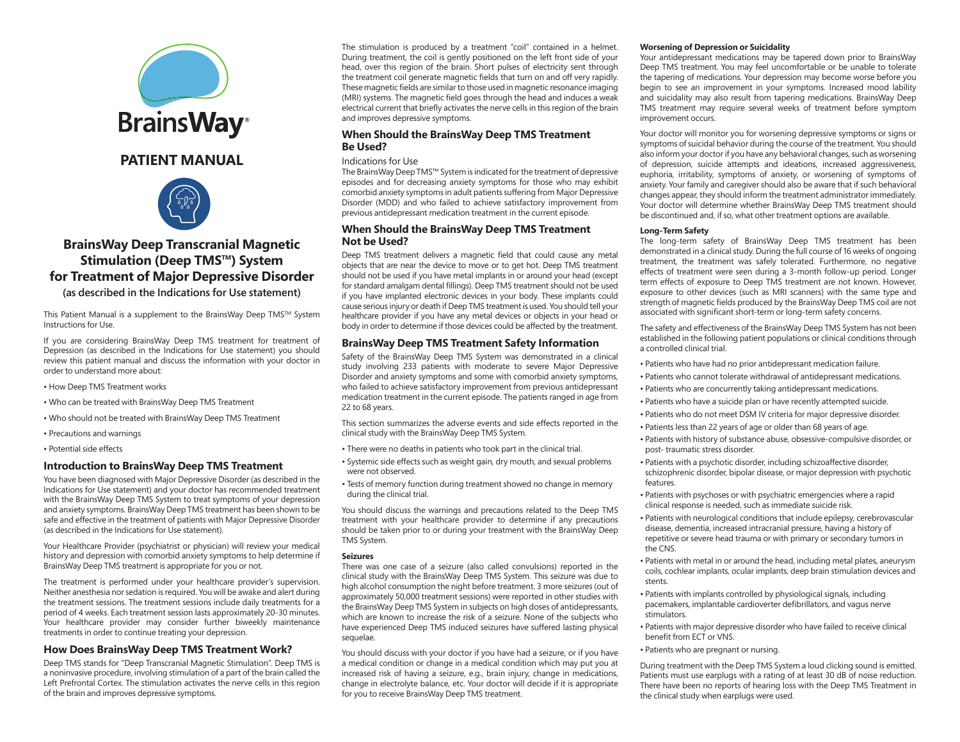



## **BrainsWay Deep Transcranial Magnetic Stimulation (Deep TMS™) System for Treatment of Major Depressive Disorder**

**(as described in the Indications for Use statement)**

This Patient Manual is a supplement to the BrainsWay Deep TMS™ System Instructions for Use.

If you are considering BrainsWay Deep TMS treatment for treatment of Depression (as described in the Indications for Use statement) you should review this patient manual and discuss the information with your doctor in order to understand more about:

- How Deep TMS Treatment works
- Who can be treated with BrainsWay Deep TMS Treatment
- Who should not be treated with BrainsWay Deep TMS Treatment
- Precautions and warnings
- Potential side effects

### **Introduction to BrainsWay Deep TMS Treatment**

You have been diagnosed with Major Depressive Disorder (as described in the Indications for Use statement) and your doctor has recommended treatment with the BrainsWay Deep TMS System to treat symptoms of your depression and anxiety symptoms. BrainsWay Deep TMS treatment has been shown to be safe and effective in the treatment of patients with Major Depressive Disorder (as described in the Indications for Use statement).

Your Healthcare Provider (psychiatrist or physician) will review your medical history and depression with comorbid anxiety symptoms to help determine if BrainsWay Deep TMS treatment is appropriate for you or not.

The treatment is performed under your healthcare provider's supervision. Neither anesthesia nor sedation is required. You will be awake and alert during the treatment sessions. The treatment sessions include daily treatments for a period of 4 weeks. Each treatment session lasts approximately 20-30 minutes. Your healthcare provider may consider further biweekly maintenance treatments in order to continue treating your depression.

## **How Does BrainsWay Deep TMS Treatment Work?**

Deep TMS stands for "Deep Transcranial Magnetic Stimulation". Deep TMS is a noninvasive procedure, involving stimulation of a part of the brain called the Left Prefrontal Cortex. The stimulation activates the nerve cells in this region of the brain and improves depressive symptoms.

The stimulation is produced by a treatment "coil" contained in a helmet. During treatment, the coil is gently positioned on the left front side of your head, over this region of the brain. Short pulses of electricity sent through the treatment coil generate magnetic fields that turn on and off very rapidly. These magnetic fields are similar to those used in magnetic resonance imaging (MRI) systems. The magnetic field goes through the head and induces a weak electrical current that briefly activates the nerve cells in this region of the brain and improves depressive symptoms.

## **When Should the BrainsWay Deep TMS Treatment Be Used?**

#### Indications for Use

The BrainsWay Deep TMS™ System is indicated for the treatment of depressive episodes and for decreasing anxiety symptoms for those who may exhibit comorbid anxiety symptoms in adult patients suffering from Major Depressive Disorder (MDD) and who failed to achieve satisfactory improvement from previous antidepressant medication treatment in the current episode.

## **When Should the BrainsWay Deep TMS Treatment Not be Used?**

Deep TMS treatment delivers a magnetic field that could cause any metal objects that are near the device to move or to get hot. Deep TMS treatment should not be used if you have metal implants in or around your head (except for standard amalgam dental fillings). Deep TMS treatment should not be used if you have implanted electronic devices in your body. These implants could cause serious injury or death if Deep TMS treatment is used. You should tell your healthcare provider if you have any metal devices or objects in your head or body in order to determine if those devices could be affected by the treatment.

## **BrainsWay Deep TMS Treatment Safety Information**

Safety of the BrainsWay Deep TMS System was demonstrated in a clinical study involving 233 patients with moderate to severe Major Depressive Disorder and anxiety symptoms and some with comorbid anxiety symptoms, who failed to achieve satisfactory improvement from previous antidepressant medication treatment in the current episode. The patients ranged in age from 22 to 68 years.

This section summarizes the adverse events and side effects reported in the clinical study with the BrainsWay Deep TMS System.

- There were no deaths in patients who took part in the clinical trial.
- Systemic side effects such as weight gain, dry mouth, and sexual problems were not observed.
- Tests of memory function during treatment showed no change in memory during the clinical trial.

You should discuss the warnings and precautions related to the Deep TMS treatment with your healthcare provider to determine if any precautions should be taken prior to or during your treatment with the BrainsWay Deep TMS System.

#### **Seizures**

There was one case of a seizure (also called convulsions) reported in the clinical study with the BrainsWay Deep TMS System. This seizure was due to high alcohol consumption the night before treatment. 3 more seizures (out of approximately 50,000 treatment sessions) were reported in other studies with the BrainsWay Deep TMS System in subjects on high doses of antidepressants, which are known to increase the risk of a seizure. None of the subjects who have experienced Deep TMS induced seizures have suffered lasting physical sequelae.

You should discuss with your doctor if you have had a seizure, or if you have a medical condition or change in a medical condition which may put you at increased risk of having a seizure, e.g., brain injury, change in medications, change in electrolyte balance, etc. Your doctor will decide if it is appropriate for you to receive BrainsWay Deep TMS treatment.

#### **Worsening of Depression or Suicidality**

Your antidepressant medications may be tapered down prior to BrainsWay Deep TMS treatment. You may feel uncomfortable or be unable to tolerate the tapering of medications. Your depression may become worse before you begin to see an improvement in your symptoms. Increased mood lability and suicidality may also result from tapering medications. BrainsWay Deep TMS treatment may require several weeks of treatment before symptom improvement occurs.

Your doctor will monitor you for worsening depressive symptoms or signs or symptoms of suicidal behavior during the course of the treatment. You should also inform your doctor if you have any behavioral changes, such as worsening of depression, suicide attempts and ideations, increased aggressiveness, euphoria, irritability, symptoms of anxiety, or worsening of symptoms of anxiety. Your family and caregiver should also be aware that if such behavioral changes appear, they should inform the treatment administrator immediately. Your doctor will determine whether BrainsWay Deep TMS treatment should be discontinued and, if so, what other treatment options are available.

#### **Long-Term Safety**

The long-term safety of BrainsWay Deep TMS treatment has been demonstrated in a clinical study. During the full course of 16 weeks of ongoing treatment, the treatment was safely tolerated. Furthermore, no negative effects of treatment were seen during a 3-month follow-up period. Longer term effects of exposure to Deep TMS treatment are not known. However, exposure to other devices (such as MRI scanners) with the same type and strength of magnetic fields produced by the BrainsWay Deep TMS coil are not associated with significant short-term or long-term safety concerns.

The safety and effectiveness of the BrainsWay Deep TMS System has not been established in the following patient populations or clinical conditions through a controlled clinical trial.

- Patients who have had no prior antidepressant medication failure.
- Patients who cannot tolerate withdrawal of antidepressant medications.
- Patients who are concurrently taking antidepressant medications.
- Patients who have a suicide plan or have recently attempted suicide.
- Patients who do not meet DSM IV criteria for major depressive disorder.
- Patients less than 22 years of age or older than 68 years of age.
- Patients with history of substance abuse, obsessive-compulsive disorder, or post- traumatic stress disorder.
- Patients with a psychotic disorder, including schizoaffective disorder, schizophrenic disorder, bipolar disease, or major depression with psychotic features.
- Patients with psychoses or with psychiatric emergencies where a rapid clinical response is needed, such as immediate suicide risk.
- Patients with neurological conditions that include epilepsy, cerebrovascular disease, dementia, increased intracranial pressure, having a history of repetitive or severe head trauma or with primary or secondary tumors in the CNS.
- Patients with metal in or around the head, including metal plates, aneurysm coils, cochlear implants, ocular implants, deep brain stimulation devices and stents.
- Patients with implants controlled by physiological signals, including pacemakers, implantable cardioverter defibrillators, and vagus nerve stimulators.
- Patients with major depressive disorder who have failed to receive clinical benefit from ECT or VNS.
- Patients who are pregnant or nursing.

During treatment with the Deep TMS System a loud clicking sound is emitted. Patients must use earplugs with a rating of at least 30 dB of noise reduction. There have been no reports of hearing loss with the Deep TMS Treatment in the clinical study when earplugs were used.